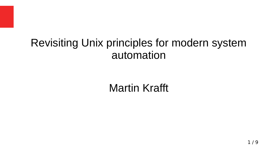### Revisiting Unix principles for modern system automation

Martin Krafft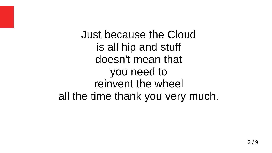Just because the Cloud is all hip and stuff doesn't mean that you need to reinvent the wheel all the time thank you very much.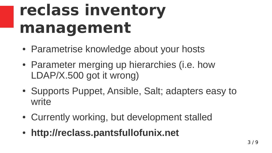# **reclass inventory management**

- Parametrise knowledge about your hosts
- Parameter merging up hierarchies (i.e. how LDAP/X.500 got it wrong)
- Supports Puppet, Ansible, Salt; adapters easy to write
- Currently working, but development stalled
- **http://reclass.pantsfullofunix.net**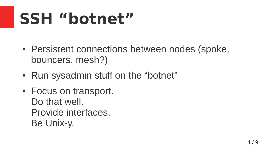# **SSH "botnet"**

- Persistent connections between nodes (spoke, bouncers, mesh?)
- Run sysadmin stuff on the "botnet"
- Focus on transport. Do that well. Provide interfaces. Be Unix-y.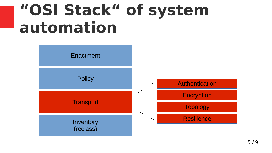## **"OSI Stack" of system automation**

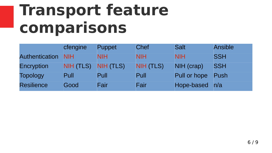## **Transport feature comparisons**

|                       | cfengine   | <b>Puppet</b> | <b>Chef</b> | <b>Salt</b>  | <b>Ansible</b> |
|-----------------------|------------|---------------|-------------|--------------|----------------|
| <b>Authentication</b> | <b>NIH</b> | <b>NIH</b>    | <b>NIH</b>  | <b>NIH</b>   | <b>SSH</b>     |
| Encryption            | NIH (TLS)  | NIH (TLS)     | NIH (TLS)   | NIH (crap)   | <b>SSH</b>     |
| <b>Topology</b>       | Pull       | Pull          | Pull        | Pull or hope | Push           |
| <b>Resilience</b>     | Good       | Fair          | Fair        | Hope-based   | n/a            |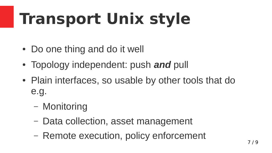# **Transport Unix style**

- Do one thing and do it well
- Topology independent: push and pull
- Plain interfaces, so usable by other tools that do e.g.
	- Monitoring
	- Data collection, asset management
	- Remote execution, policy enforcement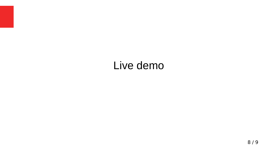#### Live demo